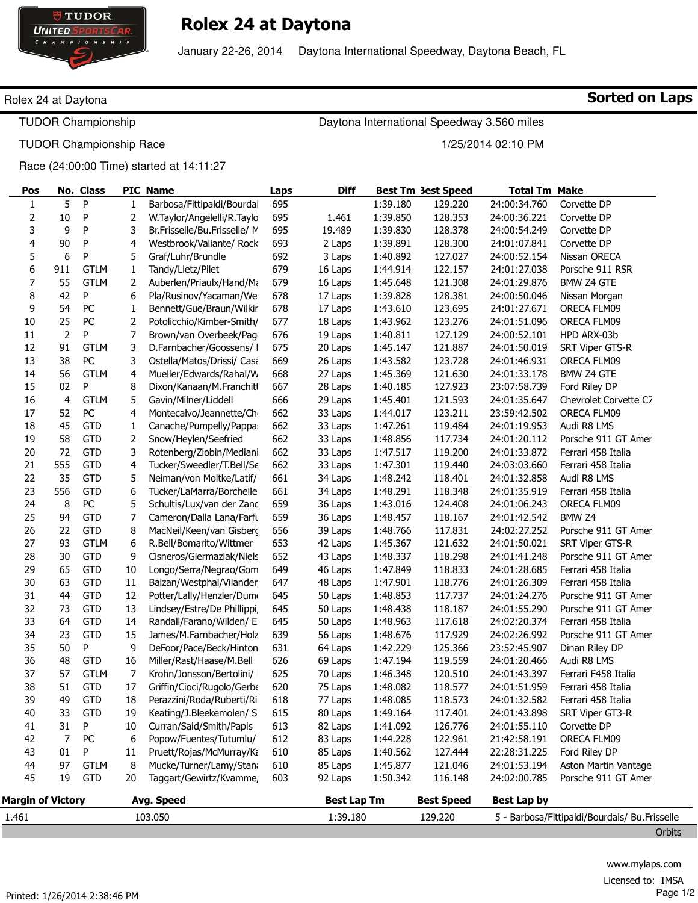

# Rolex 24 at Daytona

January 22-26, 2014 Daytona International Speedway, Daytona Beach, FL

### Rolex 24 at Daytona

TUDOR Championship

TUDOR Championship Race

### Race (24:00:00 Time) started at 14:11:27

| Pos                                    |             | No. Class    |    | PIC Name                     | Laps | <b>Diff</b>        |          | <b>Best Tm 3est Speed</b> | <b>Total Tm Make</b> |                                                         |
|----------------------------------------|-------------|--------------|----|------------------------------|------|--------------------|----------|---------------------------|----------------------|---------------------------------------------------------|
| 1                                      | 5           | $\mathsf{P}$ | 1  | Barbosa/Fittipaldi/Bourdai   | 695  |                    | 1:39.180 | 129.220                   | 24:00:34.760         | Corvette DP                                             |
| $\mathbf 2$                            | 10          | P            | 2  | W.Taylor/Angelelli/R.Taylc   | 695  | 1.461              | 1:39.850 | 128.353                   | 24:00:36.221         | Corvette DP                                             |
| 3                                      | 9           | P            | 3  | Br.Frisselle/Bu.Frisselle/ M | 695  | 19.489             | 1:39.830 | 128.378                   | 24:00:54.249         | Corvette DP                                             |
| 4                                      | 90          | P            | 4  | Westbrook/Valiante/ Rock     | 693  | 2 Laps             | 1:39.891 | 128.300                   | 24:01:07.841         | Corvette DP                                             |
| 5                                      | 6           | P            | 5  | Graf/Luhr/Brundle            | 692  | 3 Laps             | 1:40.892 | 127.027                   | 24:00:52.154         | Nissan ORECA                                            |
| 6                                      | 911         | <b>GTLM</b>  | 1  | Tandy/Lietz/Pilet            | 679  | 16 Laps            | 1:44.914 | 122.157                   | 24:01:27.038         | Porsche 911 RSR                                         |
| $\overline{7}$                         | 55          | <b>GTLM</b>  | 2  | Auberlen/Priaulx/Hand/Mi     | 679  | 16 Laps            | 1:45.648 | 121.308                   | 24:01:29.876         | <b>BMW Z4 GTE</b>                                       |
| 8                                      | 42          | P            | 6  | Pla/Rusinov/Yacaman/We       | 678  | 17 Laps            | 1:39.828 | 128.381                   | 24:00:50.046         | Nissan Morgan                                           |
| 9                                      | 54          | PC           | 1  | Bennett/Gue/Braun/Wilkir     | 678  | 17 Laps            | 1:43.610 | 123.695                   | 24:01:27.671         | ORECA FLM09                                             |
| $10\,$                                 | 25          | PC           | 2  | Potolicchio/Kimber-Smith/    | 677  | 18 Laps            | 1:43.962 | 123.276                   | 24:01:51.096         | ORECA FLM09                                             |
| 11                                     | $\mathbf 2$ | P            | 7  | Brown/van Overbeek/Pag       | 676  | 19 Laps            | 1:40.811 | 127.129                   | 24:00:52.101         | HPD ARX-03b                                             |
| 12                                     | 91          | <b>GTLM</b>  | 3  | D.Farnbacher/Goossens/ I     | 675  | 20 Laps            | 1:45.147 | 121.887                   | 24:01:50.019         | SRT Viper GTS-R                                         |
| 13                                     | 38          | PC           | 3  | Ostella/Matos/Drissi/ Casa   | 669  | 26 Laps            | 1:43.582 | 123.728                   | 24:01:46.931         | ORECA FLM09                                             |
| 14                                     | 56          | <b>GTLM</b>  | 4  | Mueller/Edwards/Rahal/W      | 668  | 27 Laps            | 1:45.369 | 121.630                   | 24:01:33.178         | <b>BMW Z4 GTE</b>                                       |
| 15                                     | 02          | P            | 8  | Dixon/Kanaan/M.Franchit      | 667  | 28 Laps            | 1:40.185 | 127.923                   | 23:07:58.739         | Ford Riley DP                                           |
| 16                                     | 4           | <b>GTLM</b>  | 5  | Gavin/Milner/Liddell         | 666  | 29 Laps            | 1:45.401 | 121.593                   | 24:01:35.647         | Chevrolet Corvette C7                                   |
| 17                                     | 52          | PC           | 4  | Montecalvo/Jeannette/Ch      | 662  | 33 Laps            | 1:44.017 | 123.211                   | 23:59:42.502         | ORECA FLM09                                             |
| 18                                     | 45          | <b>GTD</b>   | 1  | Canache/Pumpelly/Pappa       | 662  | 33 Laps            | 1:47.261 | 119.484                   | 24:01:19.953         | Audi R8 LMS                                             |
| 19                                     | 58          | <b>GTD</b>   | 2  | Snow/Heylen/Seefried         | 662  | 33 Laps            | 1:48.856 | 117.734                   | 24:01:20.112         | Porsche 911 GT Amer                                     |
| 20                                     | 72          | <b>GTD</b>   | 3  | Rotenberg/Zlobin/Median      | 662  | 33 Laps            | 1:47.517 | 119.200                   | 24:01:33.872         | Ferrari 458 Italia                                      |
| 21                                     | 555         | <b>GTD</b>   | 4  | Tucker/Sweedler/T.Bell/Se    | 662  | 33 Laps            | 1:47.301 | 119.440                   | 24:03:03.660         | Ferrari 458 Italia                                      |
| 22                                     | 35          | <b>GTD</b>   | 5  | Neiman/von Moltke/Latif/     | 661  | 34 Laps            | 1:48.242 | 118.401                   | 24:01:32.858         | Audi R8 LMS                                             |
| 23                                     | 556         | <b>GTD</b>   | 6  | Tucker/LaMarra/Borchelle     | 661  | 34 Laps            | 1:48.291 | 118.348                   | 24:01:35.919         | Ferrari 458 Italia                                      |
| 24                                     | 8           | PC           | 5  | Schultis/Lux/van der Zanc    | 659  | 36 Laps            | 1:43.016 | 124.408                   | 24:01:06.243         | ORECA FLM09                                             |
| 25                                     | 94          | <b>GTD</b>   | 7  | Cameron/Dalla Lana/Farft     | 659  | 36 Laps            | 1:48.457 | 118.167                   | 24:01:42.542         | BMW Z4                                                  |
| 26                                     | 22          | <b>GTD</b>   | 8  | MacNeil/Keen/van Gisberg     | 656  | 39 Laps            | 1:48.766 | 117.831                   | 24:02:27.252         | Porsche 911 GT Amer                                     |
| 27                                     | 93          | <b>GTLM</b>  | 6  | R.Bell/Bomarito/Wittmer      | 653  | 42 Laps            | 1:45.367 | 121.632                   | 24:01:50.021         | SRT Viper GTS-R                                         |
| 28                                     | 30          | <b>GTD</b>   | 9  | Cisneros/Giermaziak/Niels    | 652  | 43 Laps            | 1:48.337 | 118.298                   | 24:01:41.248         | Porsche 911 GT Amer                                     |
| 29                                     | 65          | <b>GTD</b>   | 10 | Longo/Serra/Negrao/Gom       | 649  | 46 Laps            | 1:47.849 | 118.833                   | 24:01:28.685         | Ferrari 458 Italia                                      |
| 30                                     | 63          | <b>GTD</b>   | 11 | Balzan/Westphal/Vilander     | 647  | 48 Laps            | 1:47.901 | 118.776                   | 24:01:26.309         | Ferrari 458 Italia                                      |
| 31                                     | 44          | <b>GTD</b>   | 12 | Potter/Lally/Henzler/Dum     | 645  | 50 Laps            | 1:48.853 | 117.737                   | 24:01:24.276         | Porsche 911 GT Amer                                     |
| 32                                     | 73          | <b>GTD</b>   | 13 | Lindsey/Estre/De Phillippi   | 645  | 50 Laps            | 1:48.438 | 118.187                   | 24:01:55.290         | Porsche 911 GT Amer                                     |
| 33                                     | 64          | <b>GTD</b>   | 14 | Randall/Farano/Wilden/ E     | 645  | 50 Laps            | 1:48.963 | 117.618                   | 24:02:20.374         | Ferrari 458 Italia                                      |
| 34                                     | 23          | <b>GTD</b>   | 15 | James/M.Farnbacher/Holz      | 639  | 56 Laps            | 1:48.676 | 117.929                   | 24:02:26.992         | Porsche 911 GT Amer                                     |
| 35                                     | 50          | P            | 9  | DeFoor/Pace/Beck/Hinton      | 631  | 64 Laps            | 1:42.229 | 125.366                   | 23:52:45.907         | Dinan Riley DP                                          |
| 36                                     | 48          | <b>GTD</b>   | 16 | Miller/Rast/Haase/M.Bell     | 626  | 69 Laps            | 1:47.194 | 119.559                   | 24:01:20.466         | Audi R8 LMS                                             |
| 37                                     | 57          | <b>GTLM</b>  | 7  | Krohn/Jonsson/Bertolini/     | 625  | 70 Laps            | 1:46.348 | 120.510                   | 24:01:43.397         | Ferrari F458 Italia                                     |
| 38                                     | 51          | <b>GTD</b>   | 17 | Griffin/Cioci/Rugolo/Gerbe   | 620  | 75 Laps            | 1:48.082 | 118.577                   | 24:01:51.959         | Ferrari 458 Italia                                      |
| 39                                     | 49          | <b>GTD</b>   | 18 | Perazzini/Roda/Ruberti/Ri    | 618  | 77 Laps            | 1:48.085 | 118.573                   | 24:01:32.582         | Ferrari 458 Italia                                      |
| 40                                     | 33          | <b>GTD</b>   | 19 | Keating/J.Bleekemolen/ S     | 615  | 80 Laps            | 1:49.164 | 117.401                   | 24:01:43.898         | SRT Viper GT3-R                                         |
| 41                                     | 31          | P            | 10 | Curran/Said/Smith/Papis      | 613  | 82 Laps            | 1:41.092 | 126.776                   | 24:01:55.110         | Corvette DP                                             |
| 42                                     | 7           | PC           | 6  | Popow/Fuentes/Tutumlu/       | 612  | 83 Laps            | 1:44.228 | 122.961                   | 21:42:58.191         | ORECA FLM09                                             |
| 43                                     | 01          | P            | 11 | Pruett/Rojas/McMurray/Ki     | 610  | 85 Laps            | 1:40.562 | 127.444                   | 22:28:31.225         | Ford Riley DP                                           |
| 44                                     | 97          | <b>GTLM</b>  | 8  | Mucke/Turner/Lamy/Stan       | 610  | 85 Laps            | 1:45.877 | 121.046                   | 24:01:53.194         | Aston Martin Vantage                                    |
| 45                                     | 19          | <b>GTD</b>   | 20 | Taggart/Gewirtz/Kvamme,      | 603  | 92 Laps            | 1:50.342 | 116.148                   | 24:02:00.785         | Porsche 911 GT Amer                                     |
|                                        |             |              |    |                              |      | <b>Best Lap Tm</b> |          | <b>Best Speed</b>         | <b>Best Lap by</b>   |                                                         |
| <b>Margin of Victory</b><br>Avg. Speed |             |              |    |                              |      |                    |          |                           |                      |                                                         |
| 1.461                                  |             |              |    | 103.050                      |      | 1:39.180           |          | 129.220                   |                      | 5 - Barbosa/Fittipaldi/Bourdais/ Bu.Frisselle<br>Orbits |

Sorted on Laps

Daytona International Speedway 3.560 miles

1/25/2014 02:10 PM